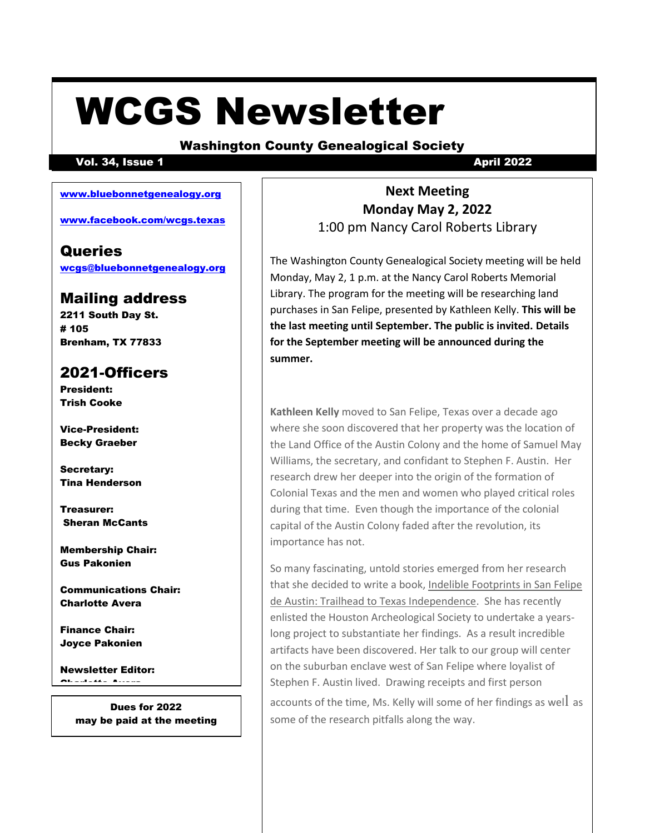# WCGS Newsletter

#### Washington County Genealogical Society

#### Vol. 34, Issue 1 April 2022

#### [www.bluebonnetgenealogy.org](http://www.bluebonnetgenealogy.org/)

[www.facebook.com/wcgs.texas](http://www.facebook.com/wcgs.texas)

### **Queries**

[wcgs@bluebonnetgenealogy.org](http://www.facebook.com/wcgs.texas)

### Mailing address

2211 South Day St. # 105 Brenham, TX 77833

## 2021-Officers

President: Trish Cooke

Vice-President: Becky Graeber

Secretary: Tina Henderson

Treasurer: Sheran McCants

Membership Chair: Gus Pakonien

Communications Chair: Charlotte Avera

Finance Chair: Joyce Pakonien

Newsletter Editor: Charlotte Avera

> Dues for 2022 may be paid at the meeting

**Next Meeting Monday May 2, 2022** 1:00 pm Nancy Carol Roberts Library

The Washington County Genealogical Society meeting will be held Monday, May 2, 1 p.m. at the Nancy Carol Roberts Memorial Library. The program for the meeting will be researching land purchases in San Felipe, presented by Kathleen Kelly. **This will be the last meeting until September. The public is invited. Details for the September meeting will be announced during the summer.**

**Kathleen Kelly** moved to San Felipe, Texas over a decade ago where she soon discovered that her property was the location of the Land Office of the Austin Colony and the home of Samuel May Williams, the secretary, and confidant to Stephen F. Austin. Her research drew her deeper into the origin of the formation of Colonial Texas and the men and women who played critical roles during that time. Even though the importance of the colonial capital of the Austin Colony faded after the revolution, its importance has not.

So many fascinating, untold stories emerged from her research that she decided to write a book, Indelible Footprints in San Felipe de Austin: Trailhead to Texas Independence. She has recently enlisted the Houston Archeological Society to undertake a yearslong project to substantiate her findings. As a result incredible artifacts have been discovered. Her talk to our group will center on the suburban enclave west of San Felipe where loyalist of Stephen F. Austin lived. Drawing receipts and first person accounts of the time, Ms. Kelly will some of her findings as well as some of the research pitfalls along the way.